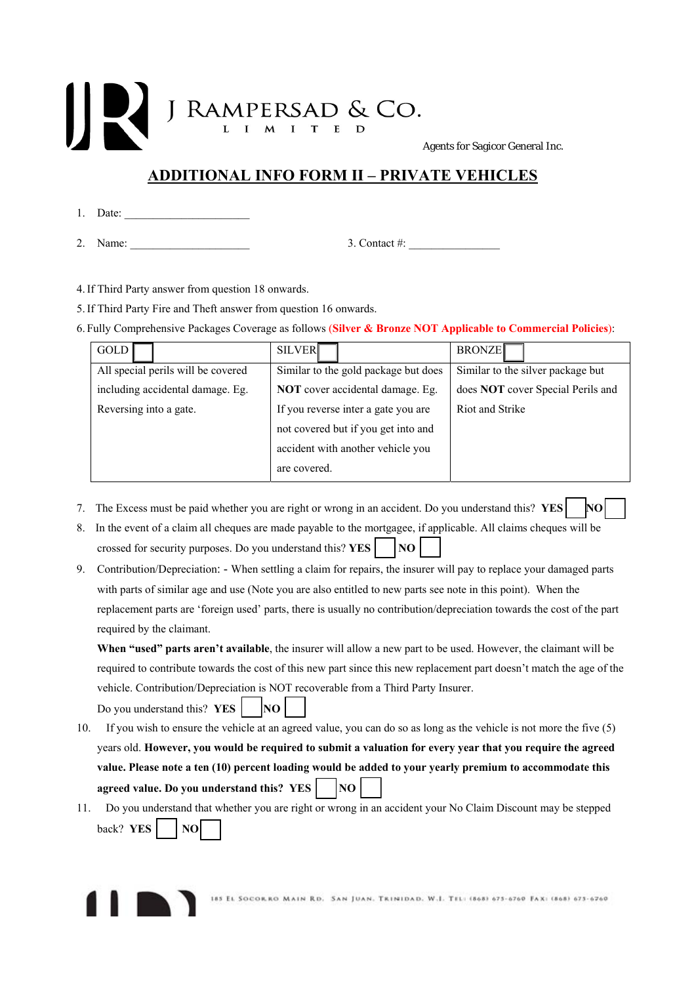## J RAMPERSAD & CO. Agents for Sagicor General Inc.

## **ADDITIONAL INFO FORM II – PRIVATE VEHICLES**

- 1. Date:
- 2. Name: \_\_\_\_\_\_\_\_\_\_\_\_\_\_\_\_\_\_\_\_\_ 3. Contact #: \_\_\_\_\_\_\_\_\_\_\_\_\_\_\_\_

- 4.If Third Party answer from question 18 onwards.
- 5.If Third Party Fire and Theft answer from question 16 onwards.
- 6. Fully Comprehensive Packages Coverage as follows (**Silver & Bronze NOT Applicable to Commercial Policies**):

| <b>GOLD</b>                        | <b>SILVER</b>                           | <b>BRONZE</b>                     |
|------------------------------------|-----------------------------------------|-----------------------------------|
| All special perils will be covered | Similar to the gold package but does    | Similar to the silver package but |
| including accidental damage. Eg.   | <b>NOT</b> cover accidental damage. Eg. | does NOT cover Special Perils and |
| Reversing into a gate.             | If you reverse inter a gate you are     | Riot and Strike                   |
|                                    | not covered but if you get into and     |                                   |
|                                    | accident with another vehicle you       |                                   |
|                                    | are covered.                            |                                   |

- 7. The Excess must be paid whether you are right or wrong in an accident. Do you understand this? **YES NO**
- 8. In the event of a claim all cheques are made payable to the mortgagee, if applicable. All claims cheques will be crossed for security purposes. Do you understand this?  $YES$   $\parallel$   $NO$
- 9. Contribution/Depreciation: When settling a claim for repairs, the insurer will pay to replace your damaged parts with parts of similar age and use (Note you are also entitled to new parts see note in this point). When the replacement parts are 'foreign used' parts, there is usually no contribution/depreciation towards the cost of the part required by the claimant.

**When "used" parts aren't available**, the insurer will allow a new part to be used. However, the claimant will be required to contribute towards the cost of this new part since this new replacement part doesn't match the age of the vehicle. Contribution/Depreciation is NOT recoverable from a Third Party Insurer.

Do you understand this? **YES**  $\vert$   $\vert$   $\vert$ **NO**  $\vert$ 

- 10. If you wish to ensure the vehicle at an agreed value, you can do so as long as the vehicle is not more the five (5) years old. **However, you would be required to submit a valuation for every year that you require the agreed value. Please note a ten (10) percent loading would be added to your yearly premium to accommodate this agreed value. Do you understand this? YES** NO
- 11. Do you understand that whether you are right or wrong in an accident your No Claim Discount may be stepped  $back?$  **YES**  $\vert$  **NO**

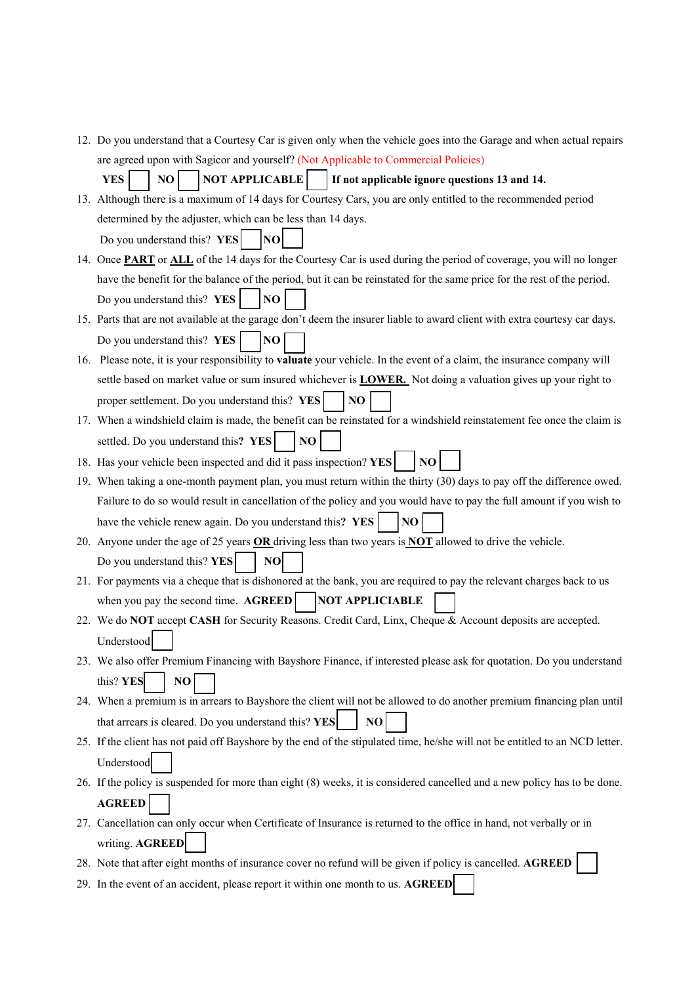12. Do you understand that a Courtesy Car is given only when the vehicle goes into the Garage and when actual repairs are agreed upon with Sagicor and yourself? (Not Applicable to Commercial Policies)

**YES**  $\vert$  NO  $\vert$  NOT APPLICABLE  $\vert$  If not applicable ignore questions 13 and 14.

13. Although there is a maximum of 14 days for Courtesy Cars, you are only entitled to the recommended period determined by the adjuster, which can be less than 14 days. Do you understand this? **YES** NO

14. Once **PART** or **ALL** of the 14 days for the Courtesy Car is used during the period of coverage, you will no longer have the benefit for the balance of the period, but it can be reinstated for the same price for the rest of the period. Do you understand this? **YES NO** 

- 15. Parts that are not available at the garage don't deem the insurer liable to award client with extra courtesy car days. Do you understand this? **YES NO**
- 16. Please note, it is your responsibility to **valuate** your vehicle. In the event of a claim, the insurance company will settle based on market value or sum insured whichever is **LOWER.** Not doing a valuation gives up your right to proper settlement. Do you understand this? **YES** NO
- 17. When a windshield claim is made, the benefit can be reinstated for a windshield reinstatement fee once the claim is settled. Do you understand this?  $YES$   $\bigcap$  NO

18. Has your vehicle been inspected and did it pass inspection? **YES** NO

- 19. When taking a one-month payment plan, you must return within the thirty (30) days to pay off the difference owed. Failure to do so would result in cancellation of the policy and you would have to pay the full amount if you wish to have the vehicle renew again. Do you understand this?  $YES$   $\vert$   $\vert NO$
- 20. Anyone under the age of 25 years **OR** driving less than two years is **NOT** allowed to drive the vehicle. Do you understand this? **YES** | **NO**
- 21. For payments via a cheque that is dishonored at the bank, you are required to pay the relevant charges back to us when you pay the second time.  $\mathbf{AGREED}$   $\vert$  NOT APPLICIABLE
- 22. We do **NOT** accept **CASH** for Security Reasons. Credit Card, Linx, Cheque & Account deposits are accepted. Understood
- 23. We also offer Premium Financing with Bayshore Finance, if interested please ask for quotation. Do you understand this?  $YES$  | NO
- 24. When a premium is in arrears to Bayshore the client will not be allowed to do another premium financing plan until that arrears is cleared. Do you understand this?  $YES$   $\parallel$  **NO**
- 25. If the client has not paid off Bayshore by the end of the stipulated time, he/she will not be entitled to an NCD letter. Understood
- 26. If the policy is suspended for more than eight (8) weeks, it is considered cancelled and a new policy has to be done. **AGREED**
- 27. Cancellation can only occur when Certificate of Insurance is returned to the office in hand, not verbally or in writing. **AGREED**
- 28. Note that after eight months of insurance cover no refund will be given if policy is cancelled. **AGREED**
- 29. In the event of an accident, please report it within one month to us. **AGREED**